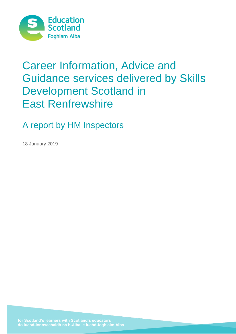

# Career Information, Advice and Guidance services delivered by Skills Development Scotland in East Renfrewshire

A report by HM Inspectors

18 January 2019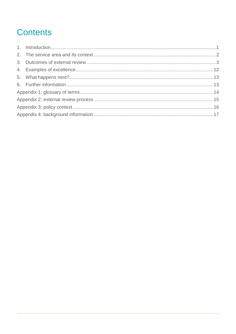# **Contents**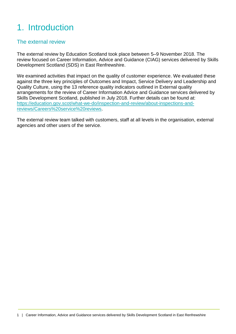# <span id="page-2-0"></span>1. Introduction

### The external review

The external review by Education Scotland took place between 5–9 November 2018. The review focused on Career Information, Advice and Guidance (CIAG) services delivered by Skills Development Scotland (SDS) in East Renfrewshire.

We examined activities that impact on the quality of customer experience. We evaluated these against the three key principles of Outcomes and Impact, Service Delivery and Leadership and Quality Culture, using the 13 reference quality indicators outlined in External quality arrangements for the review of Career Information Advice and Guidance services delivered by Skills Development Scotland, published in July 2018. Further details can be found at: [https://education.gov.scot/what-we-do/inspection-and-review/about-inspections-and](https://education.gov.scot/what-we-do/inspection-and-review/about-inspections-and-reviews/Careers%20service%20reviews)[reviews/Careers%20service%20reviews.](https://education.gov.scot/what-we-do/inspection-and-review/about-inspections-and-reviews/Careers%20service%20reviews)

The external review team talked with customers, staff at all levels in the organisation, external agencies and other users of the service.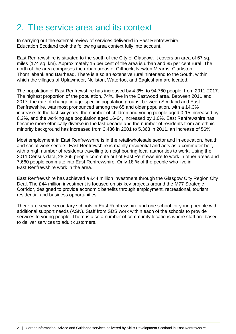### <span id="page-3-0"></span>2. The service area and its context

In carrying out the external review of services delivered in East Renfrewshire, Education Scotland took the following area context fully into account.

East Renfrewshire is situated to the south of the City of Glasgow. It covers an area of 67 sq. miles (174 sq. km). Approximately 15 per cent of the area is urban and 85 per cent rural. The north of the area comprises the urban areas of Giffnock, Newton Mearns, Clarkston, Thornliebank and Barrhead. There is also an extensive rural hinterland to the South, within which the villages of Uplawmoor, Neilston, Waterfoot and Eaglesham are located.

The population of East Renfrewshire has increased by 4.3%, to 94,760 people, from 2011-2017. The highest proportion of the population, 74%, live in the Eastwood area. Between 2011 and 2017, the rate of change in age-specific population groups, between Scotland and East Renfrewshire, was most pronounced among the 65 and older population, with a 14.3% increase. In the last six years, the number of children and young people aged 0-15 increased by 6.2%, and the working age population aged 16-64, increased by 1.0%. East Renfrewshire has become more ethnically diverse in the last decade and the number of residents from an ethnic minority background has increased from 3,436 in 2001 to 5,363 in 2011, an increase of 56%.

Most employment in East Renfrewshire is in the retail/wholesale sector and in education, health and social work sectors. East Renfrewshire is mainly residential and acts as a commuter belt, with a high number of residents travelling to neighbouring local authorities to work. Using the 2011 Census data, 28,265 people commute out of East Renfrewshire to work in other areas and 7,660 people commute into East Renfrewshire. Only 18 % of the people who live in East Renfrewshire work in the area.

East Renfrewshire has achieved a £44 million investment through the Glasgow City Region City Deal. The £44 million investment is focused on six key projects around the M77 Strategic Corridor, designed to provide economic benefits through employment, recreational, tourism, residential and business opportunities.

There are seven secondary schools in East Renfrewshire and one school for young people with additional support needs (ASN). Staff from SDS work within each of the schools to provide services to young people. There is also a number of community locations where staff are based to deliver services to adult customers.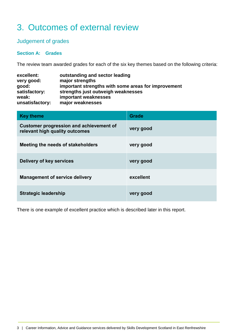### <span id="page-4-0"></span>3. Outcomes of external review

### Judgement of grades

#### **Section A: Grades**

The review team awarded grades for each of the six key themes based on the following criteria:

| excellent:<br>very good: | outstanding and sector leading<br>major strengths   |
|--------------------------|-----------------------------------------------------|
| good:                    | important strengths with some areas for improvement |
| satisfactory:            | strengths just outweigh weaknesses                  |
| weak:                    | important weaknesses                                |
| unsatisfactory:          | major weaknesses                                    |

| <b>Key theme</b>                                                                 | <b>Grade</b> |
|----------------------------------------------------------------------------------|--------------|
| <b>Customer progression and achievement of</b><br>relevant high quality outcomes | very good    |
| Meeting the needs of stakeholders                                                | very good    |
| Delivery of key services                                                         | very good    |
| <b>Management of service delivery</b>                                            | excellent    |
| <b>Strategic leadership</b>                                                      | very good    |

There is one example of excellent practice which is described later in this report.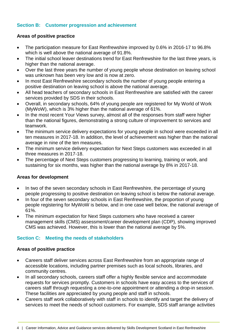#### **Section B: Customer progression and achievement**

#### **Areas of positive practice**

- The participation measure for East Renfrewshire improved by 0.6% in 2016-17 to 96.8% which is well above the national average of 91.8%.
- The initial school leaver destinations trend for East Renfrewshire for the last three years, is higher than the national average.
- Over the last three years the number of young people whose destination on leaving school was unknown has been very low and is now at zero.
- In most East Renfrewshire secondary schools the number of young people entering a positive destination on leaving school is above the national average.
- All head teachers of secondary schools in East Renfrewshire are satisfied with the career services provided by SDS in their schools.
- Overall, in secondary schools, 64% of young people are registered for My World of Work (MyWoW), which is 3% higher than the national average of 61%.
- In the most recent Your Views survey, almost all of the responses from staff were higher than the national figures, demonstrating a strong culture of improvement to services and teamwork.
- The minimum service delivery expectations for young people in school were exceeded in all ten measures in 2017-18. In addition, the level of achievement was higher than the national average in nine of the ten measures.
- The minimum service delivery expectation for Next Steps customers was exceeded in all three measures in 2017-18.
- The percentage of Next Steps customers progressing to learning, training or work, and sustaining for six months, was higher than the national average by 8% in 2017-18.

#### **Areas for development**

- In two of the seven secondary schools in East Renfrewshire, the percentage of young people progressing to positive destination on leaving school is below the national average.
- In four of the seven secondary schools in East Renfrewshire, the proportion of young people registering for MyWoW is below, and in one case well below, the national average of 61%.
- The minimum expectation for Next Steps customers who have received a career management skills (CMS) assessment/career development plan (CDP), showing improved CMS was achieved. However, this is lower than the national average by 5%.

#### **Section C: Meeting the needs of stakeholders**

#### **Areas of positive practice**

- Careers staff deliver services across East Renfrewshire from an appropriate range of accessible locations, including partner premises such as local schools, libraries, and community centres.
- In all secondary schools, careers staff offer a highly flexible service and accommodate requests for services promptly. Customers in schools have easy access to the services of careers staff through requesting a one-to-one appointment or attending a drop-in session. These facilities are appreciated by young people and staff in schools.
- Careers staff work collaboratively with staff in schools to identify and target the delivery of services to meet the needs of school customers. For example, SDS staff arrange activities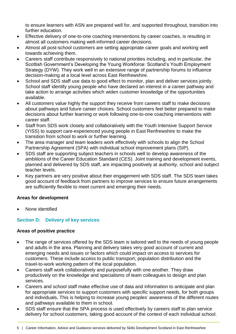to ensure learners with ASN are prepared well for, and supported throughout, transition into further education.

- Effective delivery of one-to-one coaching interventions by career coaches, is resulting in almost all customers making well-informed career decisions.
- Almost all post-school customers are setting appropriate career goals and working well towards achieving them.
- Careers staff contribute responsively to national priorities including, and in particular, the Scottish Government's Developing the Young Workforce: Scotland's Youth Employment Strategy (DYW). They work well in an extensive range of partnership forums to influence decision-making at a local level across East Renfrewshire.
- School and SDS staff use data to good effect to monitor, plan and deliver services jointly. School staff identify young people who have declared an interest in a career pathway and take action to arrange activities which widen customer knowledge of the opportunities available.
- All customers value highly the support they receive from careers staff to make decisions about pathways and future career choices. School customers feel better prepared to make decisions about further learning or work following one-to-one coaching interventions with career staff.
- Staff from SDS work closely and collaboratively with the Youth Intensive Support Service (YISS) to support care-experienced young people in East Renfrewshire to make the transition from school to work or further learning.
- The area manager and team leaders work effectively with schools to align the School Partnership Agreement (SPA) with individual school improvement plans (SIP).
- SDS staff are supporting subject teachers in schools well to develop awareness of the ambitions of the Career Education Standard (CES). Joint training and development events, planned and delivered by SDS staff, are impacting positively at authority, school and subject teacher levels.
- Key partners are very positive about their engagement with SDS staff. The SDS team takes good account of feedback from partners to improve services to ensure future arrangements are sufficiently flexible to meet current and emerging their needs.

#### **Areas for development**

None identified

#### **Section D: Delivery of key services**

#### **Areas of positive practice**

- The range of services offered by the SDS team is tailored well to the needs of young people and adults in the area. Planning and delivery takes very good account of current and emerging needs and issues or factors which could impact on access to services for customers. These include access to public transport, population distribution and the travel-to-work working pattern of the local population.
- Careers staff work collaboratively and purposefully with one another. They draw productively on the knowledge and specialisms of team colleagues to design and plan services.
- Careers and school staff make effective use of data and information to anticipate and plan for appropriate services to support customers with specific support needs, for both groups and individuals**.** This is helping to increase young peoples' awareness of the different routes and pathways available to them in school.
- SDS staff ensure that the SPA process is used effectively by careers staff to plan service delivery for school customers, taking good account of the context of each individual school.

<sup>5 |</sup> Career Information, Advice and Guidance services delivered by Skills Development Scotland in East Renfrewshire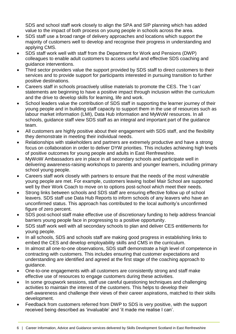SDS and school staff work closely to align the SPA and SIP planning which has added value to the impact of both process on young people in schools across the area.

- SDS staff use a broad range of delivery approaches and locations which support the majority of customers well to develop and recognise their progress in understanding and applying CMS.
- SDS staff work well with staff from the Department for Work and Pensions (DWP) colleagues to enable adult customers to access useful and effective SDS coaching and guidance interventions.
- Third sector providers value the support provided by SDS staff to direct customers to their services and to provide support for participants interested in pursuing transition to further positive destinations.
- Careers staff in schools proactively utilise materials to promote the CES. The 'I can' statements are beginning to have a positive impact through inclusion within the curriculum and the drive to develop skills for learning, life and work.
- School leaders value the contribution of SDS staff in supporting the learner journey of their young people and in building staff capacity to support them in the use of resources such as labour market information (LMI), Data Hub information and MyWoW resources. In all schools, guidance staff view SDS staff as an integral and important part of the guidance team.
- All customers are highly positive about their engagement with SDS staff, and the flexibility they demonstrate in meeting their individual needs.
- Relationships with stakeholders and partners are extremely productive and have a strong focus on collaboration in order to deliver DYW priorities. This includes achieving high levels of positive outcomes for young people and adults in East Renfrewshire.
- MyWoW Ambassadors are in place in all secondary schools and participate well in delivering awareness-raising workshops to parents and younger learners, including primary school young people.
- Careers staff work closely with partners to ensure that the needs of the most vulnerable young people are met. For example, customers leaving Isobel Mair School are supported well by their Work Coach to move on to options post-school which meet their needs.
- Strong links between schools and SDS staff are ensuring effective follow up of school leavers. SDS staff use Data Hub Reports to inform schools of any leavers who have an unconfirmed status. This approach has contributed to the local authority's unconfirmed figure of zero percent.
- SDS post-school staff make effective use of discretionary funding to help address financial barriers young people face in progressing to a positive opportunity.
- SDS staff work well with all secondary schools to plan and deliver CES entitlements for young people.
- In all schools, SDS and schools staff are making good progress in establishing links to embed the CES and develop employability skills and CMS in the curriculum.
- In almost all one-to-one observations, SDS staff demonstrate a high level of competence in contracting with customers. This includes ensuring that customer expectations and understanding are identified and agreed at the first stage of the coaching approach to guidance.
- One-to-one engagements with all customers are consistently strong and staff make effective use of resources to engage customers during these activities.
- In some groupwork sessions, staff use careful questioning techniques and challenging activities to maintain the interest of the customers. This helps to develop their self-awareness and challenge their views of their career aspirations, matched to their skills development.
- Feedback from customers referred from DWP to SDS is very positive, with the support received being described as 'invaluable' and 'it made me realise I can'.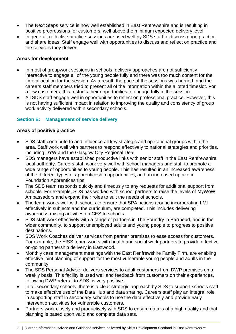- The Next Steps service is now well established in East Renfrewshire and is resulting in positive progressions for customers, well above the minimum expected delivery level.
- In general, reflective practice sessions are used well by SDS staff to discuss good practice and share ideas. Staff engage well with opportunities to discuss and reflect on practice and the services they deliver.

#### **Areas for development**

- In most of groupwork sessions in schools, delivery approaches are not sufficiently interactive to engage all of the young people fully and there was too much content for the time allocation for the session. As a result, the pace of the sessions was hurried, and the careers staff members tried to present all of the information within the allotted timeslot. For a few customers, this restricts their opportunities to engage fully in the session.
- All SDS staff engage well in opportunities to reflect on professional practice. However, this is not having sufficient impact in relation to improving the quality and consistency of group work activity delivered within secondary schools.

#### **Section E: Management of service delivery**

#### **Areas of positive practice**

- SDS staff contribute to and influence all key strategic and operational groups within the area. Staff work well with partners to respond effectively to national strategies and priorities, including DYW and the Glasgow City Regional Deal.
- SDS managers have established productive links with senior staff in the East Renfrewshire local authority. Careers staff work very well with school managers and staff to promote a wide range of opportunities to young people. This has resulted in an increased awareness of the different types of apprenticeship opportunities, and an increased uptake in Foundation Apprenticeships.
- The SDS team responds quickly and timeously to any requests for additional support from schools. For example, SDS has worked with school partners to raise the levels of MyWoW Ambassadors and expand their roles to suit the needs of schools.
- The team works well with schools to ensure that SPA actions around incorporating LMI effectively in subjects and the curriculum, are completed. This includes delivering awareness-raising activities on CES to schools.
- SDS staff work effectively with a range of partners in The Foundry in Barrhead, and in the wider community, to support unemployed adults and young people to progress to positive destinations.
- SDS Work Coaches deliver services from partner premises to ease access for customers. For example, the YISS team, works with health and social work partners to provide effective on-going partnership delivery in Eastwood.
- Monthly case management meetings with the East Renfrewshire Family Firm, are enabling effective joint planning of support for the most vulnerable young people and adults in the community.
- The SDS Personal Adviser delivers services to adult customers from DWP premises on a weekly basis. This facility is used well and feedback from customers on their experiences, following DWP referral to SDS, is very positive.
- In all secondary schools, there is a clear strategic approach by SDS to support schools staff to make effective use of the Data Hub and data sharing. Careers staff play an integral role in supporting staff in secondary schools to use the data effectively and provide early intervention activities for vulnerable customers.
- Partners work closely and productively with SDS to ensure data is of a high quality and that planning is based upon valid and complete data sets.
- 7 | Career Information, Advice and Guidance services delivered by Skills Development Scotland in East Renfrewshire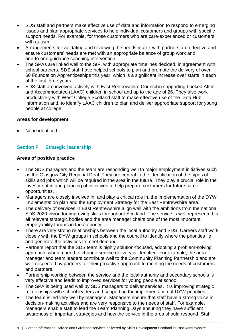- SDS staff and partners make effective use of data and information to respond to emerging issues and plan appropriate services to help individual customers and groups with specific support needs. For example, for those customers who are care-experienced or customers with autism.
- Arrangements for validating and reviewing the needs matrix with partners are effective and ensure customers' needs are met with an appropriate balance of group work and one-to-one guidance coaching intervention.
- The SPAs are linked well to the SIP, with appropriate timelines decided, in agreement with school partners. SDS staff have helped schools to plan and promote the delivery of over 60 Foundation Apprenticeships this year, which is a significant increase over starts in each of the last three years.
- SDS staff are involved actively with East Renfrewshire Council in supporting Looked After and Accommodated (LAAC) children in school and up to the age of 26. They also work productively with West College Scotland staff to make effective use of the Data Hub information and, to identify LAAC children to plan and deliver appropriate support for young people at college.

#### **Areas for development**

None identified

#### **Section F: Strategic leadership**

#### **Areas of positive practice**

- The SDS managers and the team are responding well to major employment initiatives such as the Glasgow City Regional Deal. They are central to the identification of the types of skills and jobs which will be required in the area in the future. They play a crucial role in the investment in and planning of initiatives to help prepare customers for future career opportunities.
- Managers are closely involved in, and play a critical role in, the implementation of the DYW Implementation plan and the Employment Strategy for the East Renfrewshire area.
- The delivery of services in East Renfrewshire align well with the ambitions from the national SDS 2020 vision for improving skills throughout Scotland. The service is well represented in all relevant strategic bodies and the area manager chairs one of the most important employability forums in the authority.
- There are very strong relationships between the local authority and SDS. Careers staff work closely with the DYW groups in schools and the council to identify where the priorities lie and generate the activities to meet demand.
- Partners report that the SDS team is highly solution-focused, adopting a problem-solving approach, when a need to change service delivery is identified. For example, the area manager and team leaders contribute well to the Community Planning Partnership and are well-respected by partners for their proactive approach to meeting the needs of customers and partners.
- Partnership working between the service and the local authority and secondary schools is very effective and leads to improved services for young people at school.
- The SPA is being used well by SDS managers to deliver services. It is improving strategic relationships with school leaders and supporting the implementation of DYW priorities.
- The team is led very well by managers. Managers ensure that staff have a strong voice in decision-making activities and are very responsive to the needs of staff. For example, managers enable staff to lead the Team Planning Days ensuring they have sufficient awareness of important strategies and how the service in the area should respond. Staff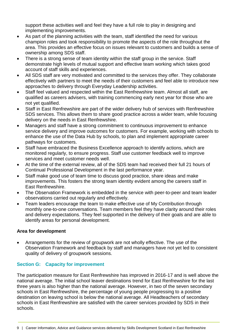support these activities well and feel they have a full role to play in designing and implementing improvements.

- As part of the planning activities with the team, staff identified the need for various champion roles and took responsibility to promote the aspects of the role throughout the area. This provides an effective focus on issues relevant to customers and builds a sense of ownership among SDS staff.
- There is a strong sense of team identity within the staff group in the service. Staff demonstrate high levels of mutual support and effective team working which takes good account of staff skills and experiences.
- All SDS staff are very motivated and committed to the services they offer. They collaborate effectively with partners to meet the needs of their customers and feel able to introduce new approaches to delivery through Everyday Leadership activities.
- Staff feel valued and respected within the East Renfrewshire team. Almost all staff, are qualified as careers advisers, with training commencing early next year for those who are not yet qualified.
- Staff in East Renfrewshire are part of the wider delivery hub of services with Renfrewshire SDS services. This allows them to share good practice across a wider team, while focusing delivery on the needs in East Renfrewshire.
- Managers and staff have a strong commitment to continuous improvement to enhance service delivery and improve outcomes for customers. For example, working with schools to enhance the use of the Data Hub by schools, to plan and implement appropriate career pathways for customers.
- Staff have embraced the Business Excellence approach to identify actions, which are monitored regularly, to ensure progress. Staff use customer feedback well to improve services and meet customer needs well.
- At the time of the external review, all of the SDS team had received their full 21 hours of Continual Professional Development in the last performance year.
- Staff make good use of team time to discuss good practice, share ideas and make improvements. This fosters the strong team identity evident among the careers staff in East Renfrewshire.
- The Observation Framework is embedded in the service with peer-to-peer and team leader observations carried out regularly and effectively.
- Team leaders encourage the team to make effective use of My Contribution through monthly one-to-one conversations. Team members feel they have clarity around their roles and delivery expectations. They feel supported in the delivery of their goals and are able to identify areas for personal development.

#### **Area for development**

 Arrangements for the review of groupwork are not wholly effective. The use of the Observation Framework and feedback by staff and managers have not yet led to consistent quality of delivery of groupwork sessions.

### **Section G: Capacity for improvement**

The participation measure for East Renfrewshire has improved in 2016-17 and is well above the national average. The initial school leaver destinations trend for East Renfrewshire for the last three years is also higher than the national average. However, in two of the seven secondary schools in East Renfrewshire, the percentage of young people progressing to a positive destination on leaving school is below the national average. All Headteachers of secondary schools in East Renfrewshire are satisfied with the career services provided by SDS in their schools.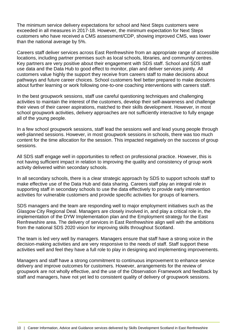The minimum service delivery expectations for school and Next Steps customers were exceeded in all measures in 2017-18. However, the minimum expectation for Next Steps customers who have received a CMS assessment/CDP, showing improved CMS, was lower than the national average by 5%.

Careers staff deliver services across East Renfrewshire from an appropriate range of accessible locations, including partner premises such as local schools, libraries, and community centres. Key partners are very positive about their engagement with SDS staff. School and SDS staff use data and the Data Hub to good effect to monitor, plan and deliver services jointly. All customers value highly the support they receive from careers staff to make decisions about pathways and future career choices. School customers feel better prepared to make decisions about further learning or work following one-to-one coaching interventions with careers staff.

In the best groupwork sessions, staff use careful questioning techniques and challenging activities to maintain the interest of the customers, develop their self-awareness and challenge their views of their career aspirations, matched to their skills development. However, in most school groupwork activities, delivery approaches are not sufficiently interactive to fully engage all of the young people.

In a few school groupwork sessions, staff lead the sessions well and lead young people through well-planned sessions. However, in most groupwork sessions in schools, there was too much content for the time allocation for the session. This impacted negatively on the success of group sessions.

All SDS staff engage well in opportunities to reflect on professional practice. However, this is not having sufficient impact in relation to improving the quality and consistency of group work activity delivered within secondary schools.

In all secondary schools, there is a clear strategic approach by SDS to support schools staff to make effective use of the Data Hub and data sharing. Careers staff play an integral role in supporting staff in secondary schools to use the data effectively to provide early intervention activities for vulnerable customers and provide specific activities for groups of learners.

SDS managers and the team are responding well to major employment initiatives such as the Glasgow City Regional Deal. Managers are closely involved in, and play a critical role in, the implementation of the DYW Implementation plan and the Employment strategy for the East Renfrewshire area. The delivery of services in East Renfrewshire align well with the ambitions from the national SDS 2020 vision for improving skills throughout Scotland.

The team is led very well by managers. Managers ensure that staff have a strong voice in the decision-making activities and are very responsive to the needs of staff. Staff support these activities well and feel they have a full role to play in designing and implementing improvements.

Managers and staff have a strong commitment to continuous improvement to enhance service delivery and improve outcomes for customers. However, arrangements for the review of groupwork are not wholly effective, and the use of the Observation Framework and feedback by staff and managers, have not yet led to consistent quality of delivery of groupwork sessions.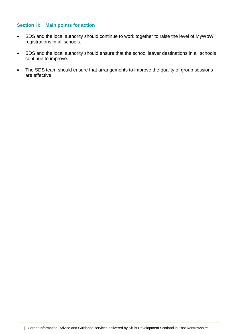#### **Section H: Main points for action**

- SDS and the local authority should continue to work together to raise the level of MyWoW registrations in all schools.
- SDS and the local authority should ensure that the school leaver destinations in all schools continue to improve.
- The SDS team should ensure that arrangements to improve the quality of group sessions are effective.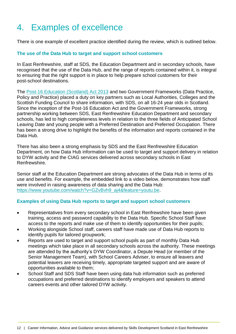# <span id="page-13-0"></span>4. Examples of excellence

There is one example of excellent practice identified during the review, which is outlined below.

#### **The use of the Data Hub to target and support school customers**

In East Renfrewshire, staff at SDS, the Education Department and in secondary schools, have recognised that the use of the Data Hub, and the range of reports contained within it, is integral to ensuring that the right support is in place to help prepare school customers for their post-school destinations.

The [Post-16 Education \(Scotland\) Act 2013](https://www.legislation.gov.uk/asp/2013/12/contents) and two Government Frameworks (Data Practice, Policy and Practice) placed a duty on key partners such as Local Authorities, Colleges and the Scottish Funding Council to share information, with SDS, on all 16-24 year olds in Scotland. Since the inception of the Post-16 Education Act and the Government Frameworks, strong partnership working between SDS, East Renfrewshire Education Department and secondary schools, has led to high completeness levels in relation to the three fields of Anticipated School Leaving Date and young people with a Preferred Destination and Preferred Occupation. There has been a strong drive to highlight the benefits of the information and reports contained in the Data Hub.

There has also been a strong emphasis by SDS and the East Renfrewshire Education Department, on how Data Hub information can be used to target and support delivery in relation to DYW activity and the CIAG services delivered across secondary schools in East Renfrewshire.

Senior staff at the Education Department are strong advocates of the Data Hub in terms of its use and benefits. For example, the embedded link to a video below, demonstrates how staff were involved in raising awareness of data sharing and the Data Hub: [https://www.youtube.com/watch?v=GZvBvh9\\_aj4&feature=youtu.be](https://www.youtube.com/watch?v=GZvBvh9_aj4&feature=youtu.be).

#### **Examples of using Data Hub reports to target and support school customers**

- Representatives from every secondary school in East Renfrewshire have been given training, access and password capability to the Data Hub. Specific School Staff have access to the reports and make use of them to identify opportunities for their pupils;
- Working alongside School staff, careers staff have made use of Data Hub reports to identify pupils for tailored groupwork;
- Reports are used to target and support school pupils as part of monthly Data Hub meetings which take place in all secondary schools across the authority. These meetings are attended by the authority's DYW Coordinator, a Depute Head (or member of the Senior Management Team), with School Careers Adviser, to ensure all leavers and potential leavers are receiving timely, appropriate targeted support and are aware of opportunities available to them;
- School Staff and SDS Staff have been using data hub information such as preferred occupations and preferred destinations to identify employers and speakers to attend careers events and other tailored DYW activity.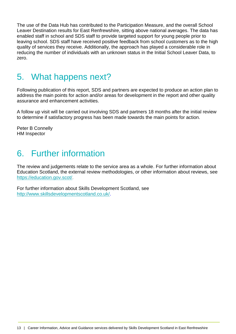The use of the Data Hub has contributed to the Participation Measure, and the overall School Leaver Destination results for East Renfrewshire, sitting above national averages. The data has enabled staff in school and SDS staff to provide targeted support for young people prior to leaving school. SDS staff have received positive feedback from school customers as to the high quality of services they receive. Additionally, the approach has played a considerable role in reducing the number of individuals with an unknown status in the Initial School Leaver Data, to zero.

### <span id="page-14-0"></span>5. What happens next?

Following publication of this report, SDS and partners are expected to produce an action plan to address the main points for action and/or areas for development in the report and other quality assurance and enhancement activities.

A follow up visit will be carried out involving SDS and partners 18 months after the initial review to determine if satisfactory progress has been made towards the main points for action.

Peter B Connelly HM Inspector

### <span id="page-14-1"></span>6. Further information

The review and judgements relate to the service area as a whole. For further information about Education Scotland, the external review methodologies, or other information about reviews, see [https://education.gov.scot/.](https://education.gov.scot/)

For further information about Skills Development Scotland, see http://www.skillsdevelopmentscotland.co.uk/.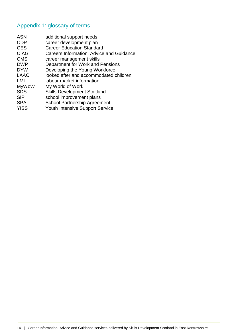### <span id="page-15-0"></span>Appendix 1: glossary of terms

| <b>ASN</b>   | additional support needs                 |
|--------------|------------------------------------------|
| <b>CDP</b>   | career development plan                  |
| <b>CES</b>   | <b>Career Education Standard</b>         |
| <b>CIAG</b>  | Careers Information, Advice and Guidance |
| <b>CMS</b>   | career management skills                 |
| <b>DWP</b>   | Department for Work and Pensions         |
| <b>DYW</b>   | Developing the Young Workforce           |
| <b>LAAC</b>  | looked after and accommodated children   |
| LMI          | labour market information                |
| <b>MyWoW</b> | My World of Work                         |
| <b>SDS</b>   | <b>Skills Development Scotland</b>       |
| <b>SIP</b>   | school improvement plans                 |
| <b>SPA</b>   | <b>School Partnership Agreement</b>      |
| <b>YISS</b>  | <b>Youth Intensive Support Service</b>   |
|              |                                          |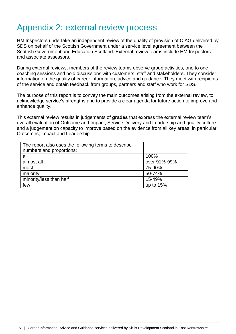### <span id="page-16-0"></span>Appendix 2: external review process

HM Inspectors undertake an independent review of the quality of provision of CIAG delivered by SDS on behalf of the Scottish Government under a service level agreement between the Scottish Government and Education Scotland. External review teams include HM Inspectors and associate assessors.

During external reviews, members of the review teams observe group activities, one to one coaching sessions and hold discussions with customers, staff and stakeholders. They consider information on the quality of career information, advice and guidance. They meet with recipients of the service and obtain feedback from groups, partners and staff who work for SDS.

The purpose of this report is to convey the main outcomes arising from the external review, to acknowledge service's strengths and to provide a clear agenda for future action to improve and enhance quality.

This external review results in judgements of **grades** that express the external review team's overall evaluation of Outcome and Impact, Service Delivery and Leadership and quality culture and a judgement on capacity to improve based on the evidence from all key areas, in particular Outcomes, Impact and Leadership.

| The report also uses the following terms to describe |              |
|------------------------------------------------------|--------------|
| numbers and proportions:                             |              |
| all                                                  | 100%         |
| almost all                                           | over 91%-99% |
| most                                                 | 75-90%       |
| majority                                             | 50-74%       |
| minority/less than half                              | 15-49%       |
| few                                                  | up to 15%    |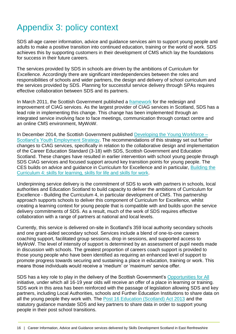# <span id="page-17-0"></span>Appendix 3: policy context

SDS all-age career information, advice and guidance services aim to support young people and adults to make a positive transition into continued education, training or the world of work. SDS achieves this by supporting customers in their development of CMS which lay the foundations for success in their future careers.

The services provided by SDS in schools are driven by the ambitions of Curriculum for Excellence. Accordingly there are significant interdependencies between the roles and responsibilities of schools and wider partners, the design and delivery of school curriculum and the services provided by SDS. Planning for successful service delivery through SPAs requires effective collaboration between SDS and its partners.

In March 2011, the Scottish Government published a [framework](https://www2.gov.scot/Publications/2011/03/11110615/0) for the redesign and improvement of CIAG services. As the largest provider of CIAG services in Scotland, SDS has a lead role in implementing this change. This change has been implemented through an integrated service involving face to face meetings, communication through contact centre and an online CMS environment, MyWoW.

In December 2014, the Scottish Government published [Developing the Young Workforce –](https://www.gov.scot/publications/developing-young-workforce-scotlands-youth-employment-strategy/) [Scotland's Youth Employment Strategy.](https://www.gov.scot/publications/developing-young-workforce-scotlands-youth-employment-strategy/) The recommendations of this strategy set out further changes to CIAG services, specifically in relation to the collaborative design and implementation of the Career Education Standard (3-18) with SDS, Scottish Government and Education Scotland. These changes have resulted in earlier intervention with school young people through SDS CIAG services and focused support around key transition points for young people. The CES builds on advice and guidance in Curriculum for Excellence and in particular, [Building the](https://www.education.gov.scot/Documents/btc4.pdf)  [Curriculum 4: skills for learning, skills for life and skills for work.](https://www.education.gov.scot/Documents/btc4.pdf)

Underpinning service delivery is the commitment of SDS to work with partners in schools, local authorities and Education Scotland to build capacity to deliver the ambitions of Curriculum for Excellence - Building the Curriculum 4, in particular development of CMS. This partnership approach supports schools to deliver this component of Curriculum for Excellence, whilst creating a learning context for young people that is compatible with and builds upon the service delivery commitments of SDS. As a result, much of the work of SDS requires effective collaboration with a range of partners at national and local levels.

Currently, this service is delivered on-site in Scotland's 359 local authority secondary schools and one grant-aided secondary school. Services include a blend of one-to-one careers coaching support, facilitated group sessions, drop in sessions, and supported access to MyWoW. The level of intensity of support is determined by an assessment of pupil needs made in discussion with schools. The greatest proportion of careers coach support is provided to those young people who have been identified as requiring an enhanced level of support to promote progress towards securing and sustaining a place in education, training or work. This means those individuals would receive a 'medium' or 'maximum' service offer.

SDS has a key role to play in the delivery of the Scottish Government's [Opportunities for All](https://www.gov.scot/publications/opportunities-supporting-young-people-participate-post-16-learning-training-work/) initiative, under which all 16-19 year olds will receive an offer of a place in learning or training. SDS work in this area has been reinforced with the passage of legislation allowing SDS and key partners, including Local Authorities, schools and Further Education Institutions to share data on all the young people they work with. The Post [16 Education \(Scotland\) Act 2013](https://www.google.co.uk/url?sa=t&rct=j&q=&esrc=s&source=web&cd=1&cad=rja&uact=8&ved=2ahUKEwixv9vizbXeAhXLKsAKHbIiB_oQFjAAegQICRAB&url=https%3A%2F%2Fwww.legislation.gov.uk%2Fid%2Fasp%2F2013%2F12&usg=AOvVaw3lUmxdx6CyJtbSC_ha1dI8) and the statutory guidance mandate SDS and key partners to share data in order to support young people in their post school transitions.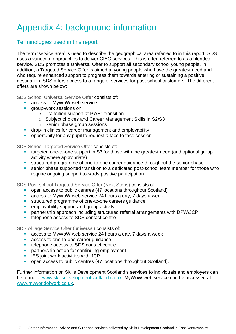# <span id="page-18-0"></span>Appendix 4: background information

### Terminologies used in this report

The term 'service area' is used to describe the geographical area referred to in this report. SDS uses a variety of approaches to deliver CIAG services. This is often referred to as a blended service. SDS promotes a Universal Offer to support all secondary school young people. In addition, a Targeted Service Offer is aimed at young people who have the greatest need and who require enhanced support to progress them towards entering or sustaining a positive destination. SDS offers access to a range of services for post-school customers. The different offers are shown below:

SDS School Universal Service Offer consists of:

- **access to MyWoW web service**
- group-work sessions on:
	- o Transition support at P7/S1 transition
	- o Subject choices and Career Management Skills in S2/S3
	- o Senior phase group sessions
- **drop-in clinics for career management and employability**
- opportunity for any pupil to request a face to face session

SDS School Targeted Service Offer consists of:

- targeted one-to-one support in S3 for those with the greatest need (and optional group activity where appropriate)
- structured programme of one-to-one career guidance throughout the senior phase
- senior phase supported transition to a dedicated post-school team member for those who require ongoing support towards positive participation

SDS Post-school Targeted Service Offer (Next Steps) consists of:

- open access to public centres (47 locations throughout Scotland)
- access to MyWoW web service 24 hours a day, 7 days a week
- **structured programme of one-to-one careers guidance**
- **EXECUTE:** employability support and group activity
- partnership approach including structured referral arrangements with DPW/JCP
- **telephone access to SDS contact centre**

SDS All age Service Offer (universal) consists of:

- access to MyWoW web service 24 hours a day, 7 days a week
- **access to one-to-one career quidance**
- **telephone access to SDS contact centre**
- **Partnership action for continuing employment**
- **IES** joint work activities with JCP
- **•** open access to public centres (47 locations throughout Scotland).

Further information on Skills Development Scotland's services to individuals and employers can be found at [www.skillsdevelopmentscotland.co.uk.](http://www.skillsdevelopmentscotland.co.uk/) MyWoW web service can be accessed at [www.myworldofwork.co.uk.](http://www.myworldofwork.co.uk/)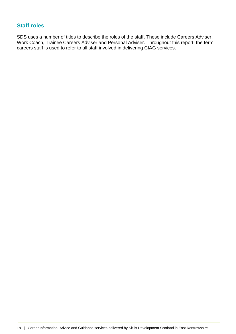### **Staff roles**

SDS uses a number of titles to describe the roles of the staff. These include Careers Adviser, Work Coach, Trainee Careers Adviser and Personal Adviser. Throughout this report, the term careers staff is used to refer to all staff involved in delivering CIAG services.